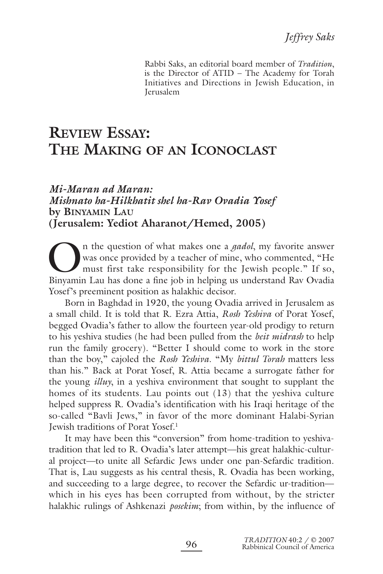Rabbi Saks, an editorial board member of *Tradition*, is the Director of ATID – The Academy for Torah Initiatives and Directions in Jewish Education, in Jerusalem

# **REVIEW ESSAY: THE MAKING OF AN ICONOCLAST**

### *Mi-Maran ad Maran: Mishnato ha-Hilkhatit shel ha-Rav Ovadia Yosef* **by BINYAMIN LAU (Jerusalem: Yediot Aharanot/Hemed, 2005)**

In the question of what makes one a *gadol*, my favorite answer<br>was once provided by a teacher of mine, who commented, "He<br>must first take responsibility for the Jewish people." If so, was once provided by a teacher of mine, who commented, "He must first take responsibility for the Jewish people." If so, Binyamin Lau has done a fine job in helping us understand Rav Ovadia Yosef's preeminent position as halakhic decisor.

Born in Baghdad in 1920, the young Ovadia arrived in Jerusalem as a small child. It is told that R. Ezra Attia, *Rosh Yeshiva* of Porat Yosef, begged Ovadia's father to allow the fourteen year-old prodigy to return to his yeshiva studies (he had been pulled from the *beit midrash* to help run the family grocery). "Better I should come to work in the store than the boy," cajoled the *Rosh Yeshiva*. "My *bittul Torah* matters less than his." Back at Porat Yosef, R. Attia became a surrogate father for the young *illuy*, in a yeshiva environment that sought to supplant the homes of its students. Lau points out (13) that the yeshiva culture helped suppress R. Ovadia's identification with his Iraqi heritage of the so-called "Bavli Jews," in favor of the more dominant Halabi-Syrian Jewish traditions of Porat Yosef.1

It may have been this "conversion" from home-tradition to yeshivatradition that led to R. Ovadia's later attempt—his great halakhic-cultural project—to unite all Sefardic Jews under one pan-Sefardic tradition. That is, Lau suggests as his central thesis, R. Ovadia has been working, and succeeding to a large degree, to recover the Sefardic ur-tradition which in his eyes has been corrupted from without, by the stricter halakhic rulings of Ashkenazi *posekim*; from within, by the influence of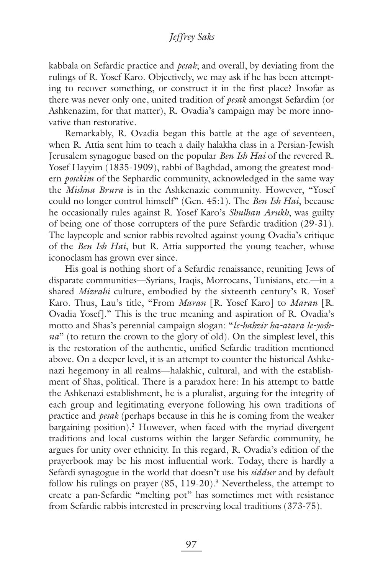### *Jeffrey Saks*

kabbala on Sefardic practice and *pesak*; and overall, by deviating from the rulings of R. Yosef Karo. Objectively, we may ask if he has been attempting to recover something, or construct it in the first place? Insofar as there was never only one, united tradition of *pesak* amongst Sefardim (or Ashkenazim, for that matter), R. Ovadia's campaign may be more innovative than restorative.

Remarkably, R. Ovadia began this battle at the age of seventeen, when R. Attia sent him to teach a daily halakha class in a Persian-Jewish Jerusalem synagogue based on the popular *Ben Ish Hai* of the revered R. Yosef Hayyim (1835-1909), rabbi of Baghdad, among the greatest modern *posekim* of the Sephardic community, acknowledged in the same way the *Mishna Brura* is in the Ashkenazic community. However, "Yosef could no longer control himself" (Gen. 45:1). The *Ben Ish Hai*, because he occasionally rules against R. Yosef Karo's *Shulhan Arukh*, was guilty of being one of those corrupters of the pure Sefardic tradition (29-31). The laypeople and senior rabbis revolted against young Ovadia's critique of the *Ben Ish Hai*, but R. Attia supported the young teacher, whose iconoclasm has grown ever since.

His goal is nothing short of a Sefardic renaissance, reuniting Jews of disparate communities—Syrians, Iraqis, Morrocans, Tunisians, etc.—in a shared *Mizrahi* culture, embodied by the sixteenth century's R. Yosef Karo. Thus, Lau's title, "From *Maran* [R. Yosef Karo] to *Maran* [R. Ovadia Yosef]." This is the true meaning and aspiration of R. Ovadia's motto and Shas's perennial campaign slogan: "*le-hahzir ha-atara le-yoshna*" (to return the crown to the glory of old). On the simplest level, this is the restoration of the authentic, unified Sefardic tradition mentioned above. On a deeper level, it is an attempt to counter the historical Ashkenazi hegemony in all realms—halakhic, cultural, and with the establishment of Shas, political. There is a paradox here: In his attempt to battle the Ashkenazi establishment, he is a pluralist, arguing for the integrity of each group and legitimating everyone following his own traditions of practice and *pesak* (perhaps because in this he is coming from the weaker bargaining position).2 However, when faced with the myriad divergent traditions and local customs within the larger Sefardic community, he argues for unity over ethnicity. In this regard, R. Ovadia's edition of the prayerbook may be his most influential work. Today, there is hardly a Sefardi synagogue in the world that doesn't use his *siddur* and by default follow his rulings on prayer  $(85, 119-20)$ .<sup>3</sup> Nevertheless, the attempt to create a pan-Sefardic "melting pot" has sometimes met with resistance from Sefardic rabbis interested in preserving local traditions (373-75).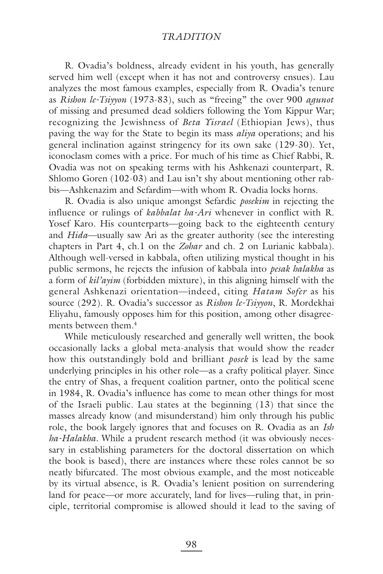#### *TRADITION*

R. Ovadia's boldness, already evident in his youth, has generally served him well (except when it has not and controversy ensues). Lau analyzes the most famous examples, especially from R. Ovadia's tenure as *Rishon le-Tsiyyon* (1973-83), such as "freeing" the over 900 *agunot* of missing and presumed dead soldiers following the Yom Kippur War; recognizing the Jewishness of *Beta Yisrael* (Ethiopian Jews), thus paving the way for the State to begin its mass *aliya* operations; and his general inclination against stringency for its own sake (129-30). Yet, iconoclasm comes with a price. For much of his time as Chief Rabbi, R. Ovadia was not on speaking terms with his Ashkenazi counterpart, R. Shlomo Goren (102-03) and Lau isn't shy about mentioning other rabbis—Ashkenazim and Sefardim—with whom R. Ovadia locks horns.

R. Ovadia is also unique amongst Sefardic *posekim* in rejecting the influence or rulings of *kabbalat ha-Ari* whenever in conflict with R. Yosef Karo. His counterparts—going back to the eighteenth century and *Hida*—usually saw Ari as the greater authority (see the interesting chapters in Part 4, ch.1 on the *Zohar* and ch. 2 on Lurianic kabbala). Although well-versed in kabbala, often utilizing mystical thought in his public sermons, he rejects the infusion of kabbala into *pesak halakha* as a form of *kil'ayim* (forbidden mixture), in this aligning himself with the general Ashkenazi orientation—indeed, citing *Hatam Sofer* as his source (292). R. Ovadia's successor as *Rishon le-Tsiyyon*, R. Mordekhai Eliyahu, famously opposes him for this position, among other disagreements between them.4

While meticulously researched and generally well written, the book occasionally lacks a global meta-analysis that would show the reader how this outstandingly bold and brilliant *posek* is lead by the same underlying principles in his other role—as a crafty political player. Since the entry of Shas, a frequent coalition partner, onto the political scene in 1984, R. Ovadia's influence has come to mean other things for most of the Israeli public. Lau states at the beginning (13) that since the masses already know (and misunderstand) him only through his public role, the book largely ignores that and focuses on R. Ovadia as an *Ish ha-Halakha*. While a prudent research method (it was obviously necessary in establishing parameters for the doctoral dissertation on which the book is based), there are instances where these roles cannot be so neatly bifurcated. The most obvious example, and the most noticeable by its virtual absence, is R. Ovadia's lenient position on surrendering land for peace—or more accurately, land for lives—ruling that, in principle, territorial compromise is allowed should it lead to the saving of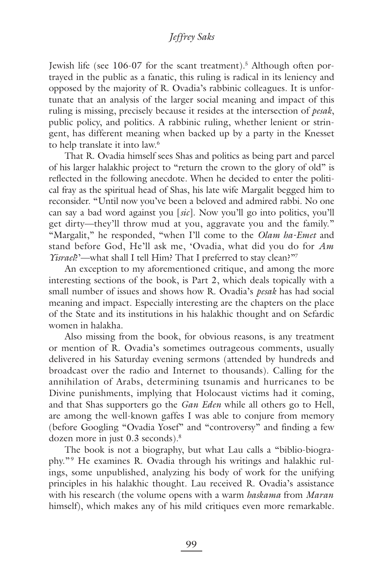## *Jeffrey Saks*

Jewish life (see 106-07 for the scant treatment).<sup>5</sup> Although often portrayed in the public as a fanatic, this ruling is radical in its leniency and opposed by the majority of R. Ovadia's rabbinic colleagues. It is unfortunate that an analysis of the larger social meaning and impact of this ruling is missing, precisely because it resides at the intersection of *pesak*, public policy, and politics. A rabbinic ruling, whether lenient or stringent, has different meaning when backed up by a party in the Knesset to help translate it into law.<sup>6</sup>

That R. Ovadia himself sees Shas and politics as being part and parcel of his larger halakhic project to "return the crown to the glory of old" is reflected in the following anecdote. When he decided to enter the political fray as the spiritual head of Shas, his late wife Margalit begged him to reconsider. "Until now you've been a beloved and admired rabbi. No one can say a bad word against you [*sic*]. Now you'll go into politics, you'll get dirty—they'll throw mud at you, aggravate you and the family." "Margalit," he responded, "when I'll come to the *Olam ha-Emet* and stand before God, He'll ask me, 'Ovadia, what did you do for *Am Yisrael*?'—what shall I tell Him? That I preferred to stay clean?"7

An exception to my aforementioned critique, and among the more interesting sections of the book, is Part 2, which deals topically with a small number of issues and shows how R. Ovadia's *pesak* has had social meaning and impact. Especially interesting are the chapters on the place of the State and its institutions in his halakhic thought and on Sefardic women in halakha.

Also missing from the book, for obvious reasons, is any treatment or mention of R. Ovadia's sometimes outrageous comments, usually delivered in his Saturday evening sermons (attended by hundreds and broadcast over the radio and Internet to thousands). Calling for the annihilation of Arabs, determining tsunamis and hurricanes to be Divine punishments, implying that Holocaust victims had it coming, and that Shas supporters go the *Gan Eden* while all others go to Hell, are among the well-known gaffes I was able to conjure from memory (before Googling "Ovadia Yosef" and "controversy" and finding a few dozen more in just 0.3 seconds).8

The book is not a biography, but what Lau calls a "biblio-biography." <sup>9</sup> He examines R. Ovadia through his writings and halakhic rulings, some unpublished, analyzing his body of work for the unifying principles in his halakhic thought. Lau received R. Ovadia's assistance with his research (the volume opens with a warm *haskama* from *Maran* himself), which makes any of his mild critiques even more remarkable.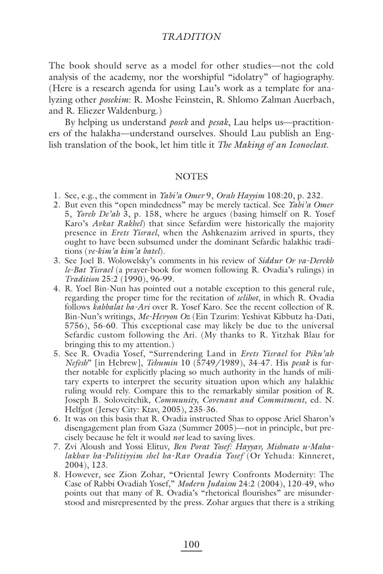#### *TRADITION*

The book should serve as a model for other studies—not the cold analysis of the academy, nor the worshipful "idolatry" of hagiography. (Here is a research agenda for using Lau's work as a template for analyzing other *posekim*: R. Moshe Feinstein, R. Shlomo Zalman Auerbach, and R. Eliezer Waldenburg.)

By helping us understand *posek* and *pesak*, Lau helps us—practitioners of the halakha—understand ourselves. Should Lau publish an English translation of the book, let him title it *The Making of an Iconoclast.*

#### **NOTES**

- 1. See, e.g., the comment in *Yabi'a Omer* 9, *Orah Hayyim* 108:20, p. 232.
- 2. But even this "open mindedness" may be merely tactical. See *Yabi'a Omer* 5, *Yoreh De'ah* 3, p. 158, where he argues (basing himself on R. Yosef Karo's *Avkat Rakhel*) that since Sefardim were historically the majority presence in *Erets Yisrael*, when the Ashkenazim arrived in spurts, they ought to have been subsumed under the dominant Sefardic halakhic traditions (*ve-kim'a kim'a batel*).
- 3. See Joel B. Wolowelsky's comments in his review of *Siddur Or va-Derekh le-Bat Yisrael* (a prayer-book for women following R. Ovadia's rulings) in *Tradition* 25:2 (1990), 96-99.
- 4. R. Yoel Bin-Nun has pointed out a notable exception to this general rule, regarding the proper time for the recitation of *selihot*, in which R. Ovadia follows *kabbalat ha-Ari* over R. Yosef Karo. See the recent collection of R. Bin-Nun's writings, *Me-Hevyon Oz* (Ein Tzurim: Yeshivat Kibbutz ha-Dati, 5756), 56-60. This exceptional case may likely be due to the universal Sefardic custom following the Ari. (My thanks to R. Yitzhak Blau for bringing this to my attention.)
- 5. See R. Ovadia Yosef, "Surrendering Land in *Erets Yisrael* for *Piku'ah Nefesh*" [in Hebrew], *Tehumin* 10 (5749/1989), 34-47. His *pesak* is further notable for explicitly placing so much authority in the hands of military experts to interpret the security situation upon which any halakhic ruling would rely. Compare this to the remarkably similar position of R. Joseph B. Soloveitchik, *Community, Covenant and Commitment*, ed. N. Helfgot (Jersey City: Ktav, 2005), 235-36.
- 6. It was on this basis that R. Ovadia instructed Shas to oppose Ariel Sharon's disengagement plan from Gaza (Summer 2005)—not in principle, but precisely because he felt it would *not* lead to saving lives.
- 7. Zvi Aloush and Yossi Elituv, *Ben Porat Yosef: Hayyav, Mishnato u-Mahalakhav ha-Politiyyim shel ha-Rav Ovadia Yosef* (Or Yehuda: Kinneret, 2004), 123.
- 8. However, see Zion Zohar, "Oriental Jewry Confronts Modernity: The Case of Rabbi Ovadiah Yosef," *Modern Judaism* 24:2 (2004), 120-49, who points out that many of R. Ovadia's "rhetorical flourishes" are misunderstood and misrepresented by the press. Zohar argues that there is a striking